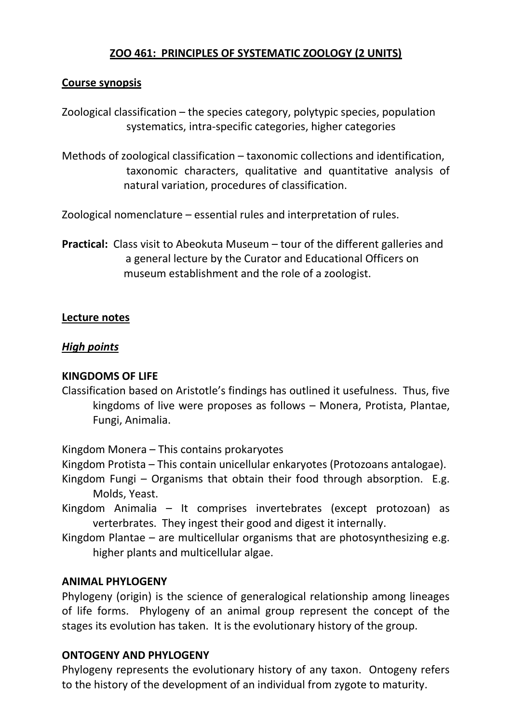### **ZOO 461: PRINCIPLES OF SYSTEMATIC ZOOLOGY (2 UNITS)**

### **Course synopsis**

Zoological classification – the species category, polytypic species, population systematics, intra-specific categories, higher categories

Methods of zoological classification – taxonomic collections and identification, taxonomic characters, qualitative and quantitative analysis of natural variation, procedures of classification.

Zoological nomenclature – essential rules and interpretation of rules.

**Practical:** Class visit to Abeokuta Museum – tour of the different galleries and a general lecture by the Curator and Educational Officers on museum establishment and the role of a zoologist.

#### **Lecture notes**

#### *High points*

#### **KINGDOMS OF LIFE**

Classification based on Aristotle's findings has outlined it usefulness. Thus, five kingdoms of live were proposes as follows – Monera, Protista, Plantae, Fungi, Animalia.

Kingdom Monera – This contains prokaryotes

- Kingdom Protista This contain unicellular enkaryotes (Protozoans antalogae).
- Kingdom Fungi Organisms that obtain their food through absorption. E.g. Molds, Yeast.
- Kingdom Animalia It comprises invertebrates (except protozoan) as verterbrates. They ingest their good and digest it internally.
- Kingdom Plantae are multicellular organisms that are photosynthesizing e.g. higher plants and multicellular algae.

### **ANIMAL PHYLOGENY**

Phylogeny (origin) is the science of generalogical relationship among lineages of life forms. Phylogeny of an animal group represent the concept of the stages its evolution has taken. It is the evolutionary history of the group.

### **ONTOGENY AND PHYLOGENY**

Phylogeny represents the evolutionary history of any taxon. Ontogeny refers to the history of the development of an individual from zygote to maturity.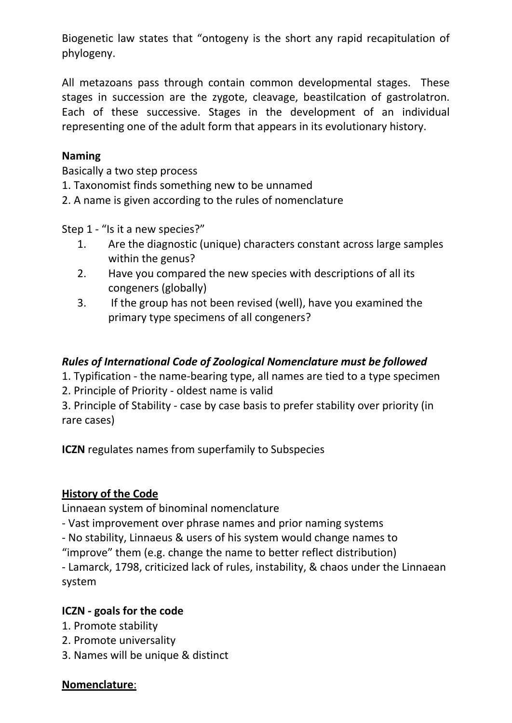Biogenetic law states that "ontogeny is the short any rapid recapitulation of phylogeny.

All metazoans pass through contain common developmental stages. These stages in succession are the zygote, cleavage, beastilcation of gastrolatron. Each of these successive. Stages in the development of an individual representing one of the adult form that appears in its evolutionary history.

## **Naming**

Basically a two step process

1. Taxonomist finds something new to be unnamed

2. A name is given according to the rules of nomenclature

Step 1 - "Is it a new species?"

- 1. Are the diagnostic (unique) characters constant across large samples within the genus?
- 2. Have you compared the new species with descriptions of all its congeners (globally)
- 3. If the group has not been revised (well), have you examined the primary type specimens of all congeners?

# *Rules of International Code of Zoological Nomenclature must be followed*

1. Typification - the name-bearing type, all names are tied to a type specimen

2. Principle of Priority - oldest name is valid

3. Principle of Stability - case by case basis to prefer stability over priority (in rare cases)

**ICZN** regulates names from superfamily to Subspecies

# **History of the Code**

Linnaean system of binominal nomenclature

- Vast improvement over phrase names and prior naming systems

- No stability, Linnaeus & users of his system would change names to

"improve" them (e.g. change the name to better reflect distribution)

- Lamarck, 1798, criticized lack of rules, instability, & chaos under the Linnaean system

# **ICZN - goals for the code**

- 1. Promote stability
- 2. Promote universality
- 3. Names will be unique & distinct

### **Nomenclature**: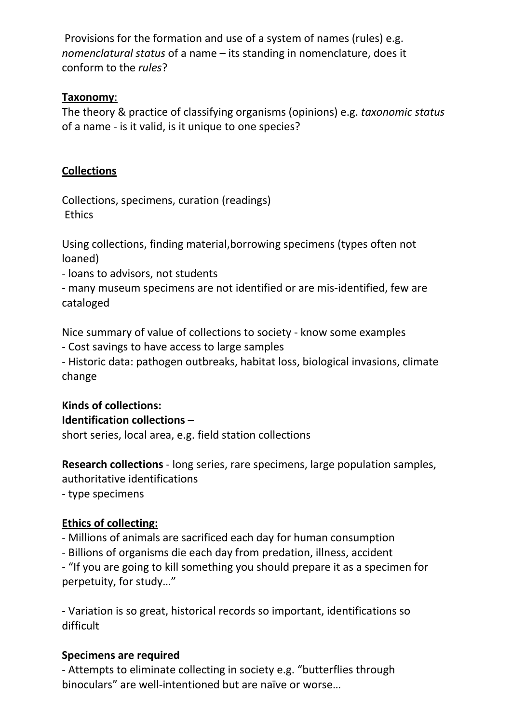Provisions for the formation and use of a system of names (rules) e.g. *nomenclatural status* of a name – its standing in nomenclature, does it conform to the *rules*?

### **Taxonomy**:

The theory & practice of classifying organisms (opinions) e.g. *taxonomic status*  of a name - is it valid, is it unique to one species?

## **Collections**

Collections, specimens, curation (readings) **Ethics** 

Using collections, finding material,borrowing specimens (types often not loaned)

- loans to advisors, not students

- many museum specimens are not identified or are mis-identified, few are cataloged

Nice summary of value of collections to society - know some examples

- Cost savings to have access to large samples

- Historic data: pathogen outbreaks, habitat loss, biological invasions, climate change

#### **Kinds of collections: Identification collections** –

short series, local area, e.g. field station collections

**Research collections** - long series, rare specimens, large population samples, authoritative identifications

- type specimens

# **Ethics of collecting:**

- Millions of animals are sacrificed each day for human consumption

- Billions of organisms die each day from predation, illness, accident

- "If you are going to kill something you should prepare it as a specimen for perpetuity, for study…"

- Variation is so great, historical records so important, identifications so difficult

### **Specimens are required**

- Attempts to eliminate collecting in society e.g. "butterflies through binoculars" are well-intentioned but are naïve or worse…